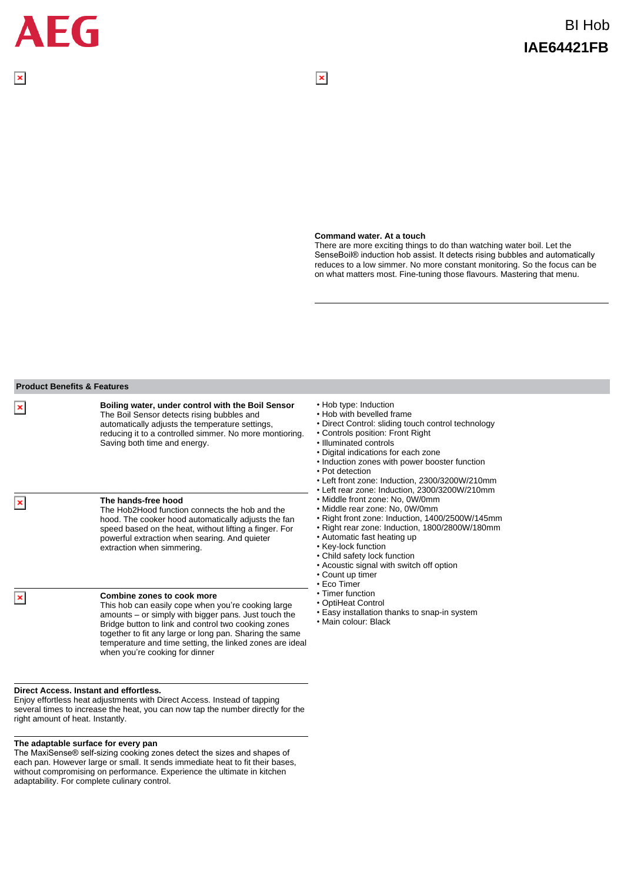## **Command water. At a touch**

 $\overline{\mathbf{x}}$ 

There are more exciting things to do than watching water boil. Let the SenseBoil® induction hob assist. It detects rising bubbles and automatically reduces to a low simmer. No more constant monitoring. So the focus can be on what matters most. Fine-tuning those flavours. Mastering that menu.

|                           | Boiling water, under control with the Boil Sensor                                                                                                                                                                                                                                                                                                        | • Hob type: Induction                                                                                                                                                                                                                                                                                                                                                                                                                                                                                                                                                                                                                                                                                                                                                                                                        |
|---------------------------|----------------------------------------------------------------------------------------------------------------------------------------------------------------------------------------------------------------------------------------------------------------------------------------------------------------------------------------------------------|------------------------------------------------------------------------------------------------------------------------------------------------------------------------------------------------------------------------------------------------------------------------------------------------------------------------------------------------------------------------------------------------------------------------------------------------------------------------------------------------------------------------------------------------------------------------------------------------------------------------------------------------------------------------------------------------------------------------------------------------------------------------------------------------------------------------------|
| $\boldsymbol{\mathsf{x}}$ | The Boil Sensor detects rising bubbles and<br>automatically adjusts the temperature settings,<br>reducing it to a controlled simmer. No more montioring.<br>Saving both time and energy.                                                                                                                                                                 | . Hob with bevelled frame<br>• Direct Control: sliding touch control technology<br>• Controls position: Front Right<br>. Illuminated controls<br>• Digital indications for each zone<br>• Induction zones with power booster function<br>• Pot detection<br>• Left front zone: Induction, 2300/3200W/210mm<br>• Left rear zone: Induction, 2300/3200W/210mm<br>• Middle front zone: No, 0W/0mm<br>• Middle rear zone: No, 0W/0mm<br>• Right front zone: Induction, 1400/2500W/145mm<br>• Right rear zone: Induction, 1800/2800W/180mm<br>• Automatic fast heating up<br>• Key-lock function<br>• Child safety lock function<br>• Acoustic signal with switch off option<br>• Count up timer<br>• Eco Timer<br>• Timer function<br>• OptiHeat Control<br>• Easy installation thanks to snap-in system<br>• Main colour: Black |
| ×                         | The hands-free hood<br>The Hob2Hood function connects the hob and the<br>hood. The cooker hood automatically adjusts the fan<br>speed based on the heat, without lifting a finger. For<br>powerful extraction when searing. And quieter<br>extraction when simmering.                                                                                    |                                                                                                                                                                                                                                                                                                                                                                                                                                                                                                                                                                                                                                                                                                                                                                                                                              |
| ×                         | Combine zones to cook more<br>This hob can easily cope when you're cooking large<br>amounts – or simply with bigger pans. Just touch the<br>Bridge button to link and control two cooking zones<br>together to fit any large or long pan. Sharing the same<br>temperature and time setting, the linked zones are ideal<br>when you're cooking for dinner |                                                                                                                                                                                                                                                                                                                                                                                                                                                                                                                                                                                                                                                                                                                                                                                                                              |

e the heat, you can now tap the number directly for the right amount of heat. Instantly.

## **The adaptable surface for every pan**

The MaxiSense® self-sizing cooking zones detect the sizes and shapes of each pan. However large or small. It sends immediate heat to fit their bases, without compromising on performance. Experience the ultimate in kitchen adaptability. For complete culinary control.